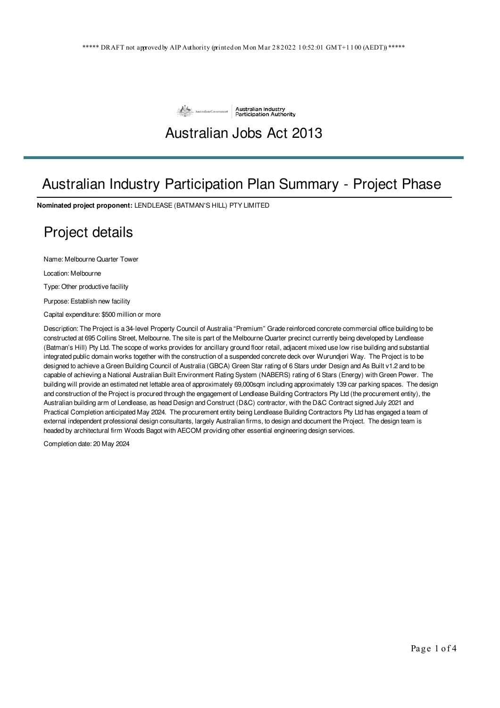

# Australian Jobs Act 2013

# Australian Industry Participation Plan Summary - Project Phase

**Nominated project proponent:** LENDLEASE (BATMAN'S HILL) PTY LIMITED

### Project details

Name: Melbourne Quarter Tower

Location: Melbourne

Type: Other productive facility

Purpose: Establish new facility

Capital expenditure: \$500 million or more

Description: The Project is a 34-level Property Council of Australia "Premium" Grade reinforced concrete commercial office building to be constructed at 695 Collins Street, Melbourne. The site is part of the Melbourne Quarter precinct currently being developed by Lendlease (Batman's Hill) Pty Ltd. The scope of works provides for ancillary ground floor retail, adjacent mixed use low rise building and substantial integrated public domain works together with the construction of a suspended concrete deck over Wurundjeri Way. The Project is to be designed to achieve a Green Building Council of Australia (GBCA) Green Star rating of 6 Stars under Design and As Built v1.2 and to be capable of achieving a National Australian Built Environment Rating System (NABERS) rating of 6 Stars (Energy) with Green Power. The building will provide an estimated net lettable area of approximately 69,000sqm including approximately 139 car parking spaces. The design and construction of the Project is procured through the engagement of Lendlease Building Contractors Pty Ltd (the procurement entity), the Australian building arm of Lendlease, as head Design and Construct (D&C) contractor, with the D&C Contract signed July 2021 and Practical Completion anticipated May 2024. The procurement entity being Lendlease Building Contractors Pty Ltd has engaged a team of external independent professional design consultants, largely Australian firms, to design and document the Project. The design team is headed by architectural firm Woods Bagot with AECOM providing other essential engineering design services.

Completion date: 20 May 2024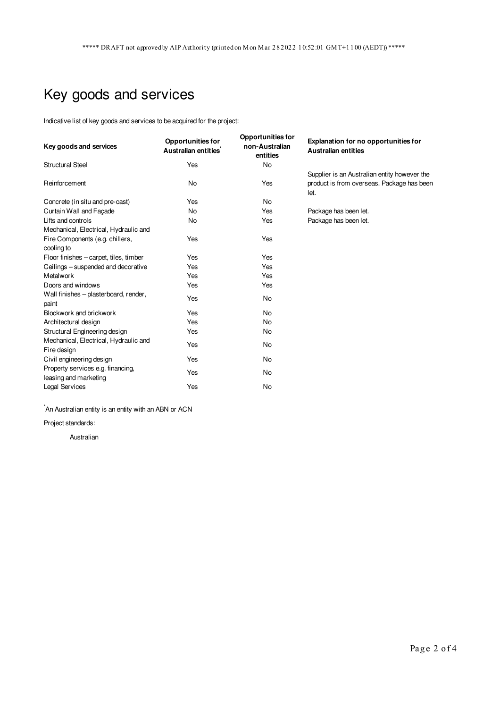# Key goods and services

Indicative list of key goods and services to be acquired for the project:

| Key goods and services                                     | Opportunities for<br>Australian entities <sup>*</sup> | <b>Opportunities for</b><br>non-Australian<br>entities | Explanation for no opportunities for<br><b>Australian entities</b>                                 |
|------------------------------------------------------------|-------------------------------------------------------|--------------------------------------------------------|----------------------------------------------------------------------------------------------------|
| Structural Steel                                           | Yes                                                   | No                                                     |                                                                                                    |
| Reinforcement                                              | No                                                    | Yes                                                    | Supplier is an Australian entity however the<br>product is from overseas. Package has been<br>let. |
| Concrete (in situ and pre-cast)                            | Yes                                                   | <b>No</b>                                              |                                                                                                    |
| Curtain Wall and Facade                                    | No                                                    | Yes                                                    | Package has been let.                                                                              |
| Lifts and controls                                         | No                                                    | Yes                                                    | Package has been let.                                                                              |
| Mechanical, Electrical, Hydraulic and                      |                                                       |                                                        |                                                                                                    |
| Fire Components (e.g. chillers,<br>cooling to              | Yes                                                   | Yes                                                    |                                                                                                    |
| Floor finishes - carpet, tiles, timber                     | Yes                                                   | Yes                                                    |                                                                                                    |
| Ceilings - suspended and decorative                        | Yes                                                   | Yes                                                    |                                                                                                    |
| Metalwork                                                  | Yes                                                   | Yes                                                    |                                                                                                    |
| Doors and windows                                          | Yes                                                   | Yes                                                    |                                                                                                    |
| Wall finishes - plasterboard, render,<br>paint             | Yes                                                   | <b>No</b>                                              |                                                                                                    |
| Blockwork and brickwork                                    | Yes                                                   | <b>No</b>                                              |                                                                                                    |
| Architectural design                                       | Yes                                                   | <b>No</b>                                              |                                                                                                    |
| Structural Engineering design                              | Yes                                                   | No                                                     |                                                                                                    |
| Mechanical, Electrical, Hydraulic and<br>Fire design       | Yes                                                   | No                                                     |                                                                                                    |
| Civil engineering design                                   | Yes                                                   | <b>No</b>                                              |                                                                                                    |
| Property services e.g. financing,<br>leasing and marketing | Yes                                                   | No                                                     |                                                                                                    |
| <b>Legal Services</b>                                      | Yes                                                   | <b>No</b>                                              |                                                                                                    |

 $\hat{}$ An Australian entity is an entity with an ABN or ACN

Project standards:

Australian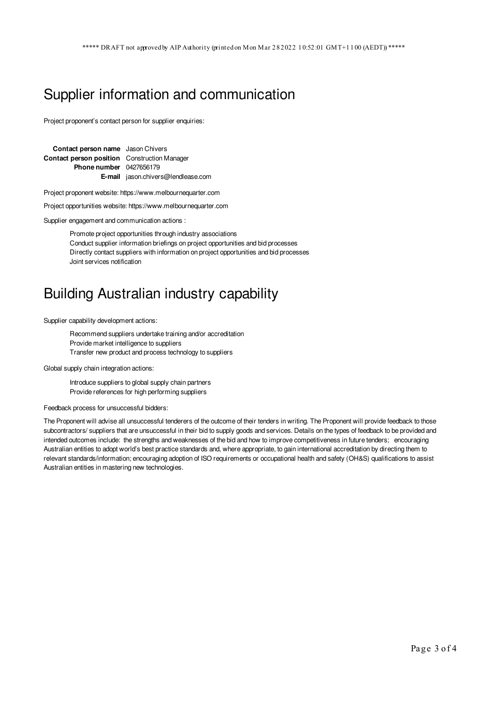### Supplier information and communication

Project proponent's contact person for supplier enquiries:

| <b>Contact person name</b> Jason Chivers            |                                           |  |
|-----------------------------------------------------|-------------------------------------------|--|
| <b>Contact person position</b> Construction Manager |                                           |  |
| <b>Phone number</b> 0427656179                      |                                           |  |
|                                                     | <b>E-mail</b> jason.chivers@lendlease.com |  |

Project proponent website: https://www.melbournequarter.com

Project opportunities website: https://www.melbournequarter.com

Supplier engagement and communication actions :

Promote project opportunities through industry associations Conduct supplier information briefings on project opportunities and bid processes Directly contact suppliers with information on project opportunities and bid processes Joint services notification

#### Building Australian industry capability

Supplier capability development actions:

Recommend suppliers undertake training and/or accreditation Provide market intelligence to suppliers Transfer new product and process technology to suppliers

Global supply chain integration actions:

Introduce suppliers to global supply chain partners Provide references for high performing suppliers

Feedback process for unsuccessful bidders:

The Proponent will advise all unsuccessful tenderers of the outcome of their tenders in writing. The Proponent will provide feedback to those subcontractors/ suppliers that are unsuccessful in their bid to supply goods and services. Details on the types of feedback to be provided and intended outcomes include: the strengths and weaknesses of the bid and how to improve competitiveness in future tenders; encouraging Australian entities to adopt world's best practice standards and, where appropriate, to gain international accreditation by directing them to relevant standards/information; encouraging adoption of ISO requirements or occupational health and safety (OH&S) qualifications to assist Australian entities in mastering new technologies.